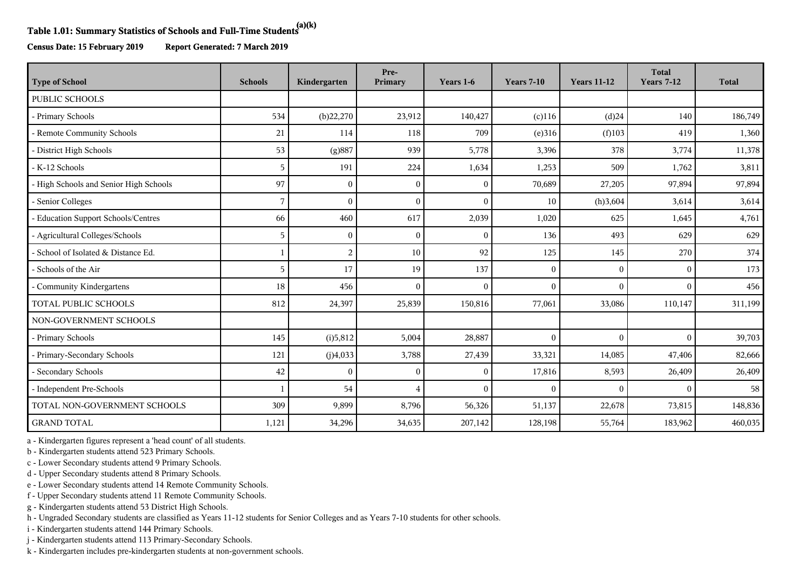## **Table 1.01: Summary Statistics of Schools and Full-Time Students(a)(k)**

**Census Date: 15 February 2019 Report Generated: 7 March 2019**

| <b>Type of School</b>                  | <b>Schools</b> | Kindergarten   | Pre-<br>Primary | Years 1-6 | <b>Years 7-10</b> | <b>Years 11-12</b> | <b>Total</b><br><b>Years 7-12</b> | <b>Total</b> |
|----------------------------------------|----------------|----------------|-----------------|-----------|-------------------|--------------------|-----------------------------------|--------------|
| PUBLIC SCHOOLS                         |                |                |                 |           |                   |                    |                                   |              |
| - Primary Schools                      | 534            | (b)22,270      | 23,912          | 140,427   | $(c)$ 116         | $(d)$ 24           | 140                               | 186,749      |
| - Remote Community Schools             | 21             | 114            | 118             | 709       | (e)316            | (f)103             | 419                               | 1,360        |
| - District High Schools                | 53             | (g)887         | 939             | 5,778     | 3,396             | 378                | 3,774                             | 11,378       |
| - K-12 Schools                         | 5              | 191            | 224             | 1,634     | 1,253             | 509                | 1,762                             | 3,811        |
| - High Schools and Senior High Schools | 97             | $\overline{0}$ | $\Omega$        | $\theta$  | 70,689            | 27,205             | 97,894                            | 97,894       |
| - Senior Colleges                      | 7              | $\Omega$       | $\Omega$        | $\theta$  | 10                | (h)3,604           | 3,614                             | 3,614        |
| - Education Support Schools/Centres    | 66             | 460            | 617             | 2,039     | 1,020             | 625                | 1,645                             | 4,761        |
| - Agricultural Colleges/Schools        | 5              | $\overline{0}$ | $\Omega$        | $\Omega$  | 136               | 493                | 629                               | 629          |
| - School of Isolated & Distance Ed.    | 1              | 2              | 10              | 92        | 125               | 145                | 270                               | 374          |
| - Schools of the Air                   | 5              | 17             | 19              | 137       | $\overline{0}$    | $\mathbf{0}$       | $\mathbf{0}$                      | 173          |
| - Community Kindergartens              | 18             | 456            | $\Omega$        | $\Omega$  | $\mathbf{0}$      | $\mathbf{0}$       | $\theta$                          | 456          |
| TOTAL PUBLIC SCHOOLS                   | 812            | 24,397         | 25,839          | 150,816   | 77,061            | 33,086             | 110,147                           | 311,199      |
| NON-GOVERNMENT SCHOOLS                 |                |                |                 |           |                   |                    |                                   |              |
| - Primary Schools                      | 145            | (i)5,812       | 5,004           | 28,887    | $\mathbf{0}$      | $\mathbf{0}$       | $\Omega$                          | 39,703       |
| - Primary-Secondary Schools            | 121            | (j)4,033       | 3,788           | 27,439    | 33,321            | 14,085             | 47,406                            | 82,666       |
| - Secondary Schools                    | 42             | $\Omega$       | $\Omega$        | $\Omega$  | 17,816            | 8,593              | 26,409                            | 26,409       |
| - Independent Pre-Schools              |                | 54             | 4               | $\theta$  | $\overline{0}$    | $\Omega$           | $\Omega$                          | 58           |
| TOTAL NON-GOVERNMENT SCHOOLS           | 309            | 9,899          | 8,796           | 56,326    | 51,137            | 22,678             | 73,815                            | 148,836      |
| <b>GRAND TOTAL</b>                     | 1,121          | 34,296         | 34,635          | 207,142   | 128,198           | 55,764             | 183,962                           | 460,035      |

a - Kindergarten figures represent a 'head count' of all students.

b - Kindergarten students attend 523 Primary Schools.

c - Lower Secondary students attend 9 Primary Schools.

d - Upper Secondary students attend 8 Primary Schools.

e - Lower Secondary students attend 14 Remote Community Schools.

f - Upper Secondary students attend 11 Remote Community Schools.

g - Kindergarten students attend 53 District High Schools.

h - Ungraded Secondary students are classified as Years 11-12 students for Senior Colleges and as Years 7-10 students for other schools.

i - Kindergarten students attend 144 Primary Schools.

j - Kindergarten students attend 113 Primary-Secondary Schools.

k - Kindergarten includes pre-kindergarten students at non-government schools.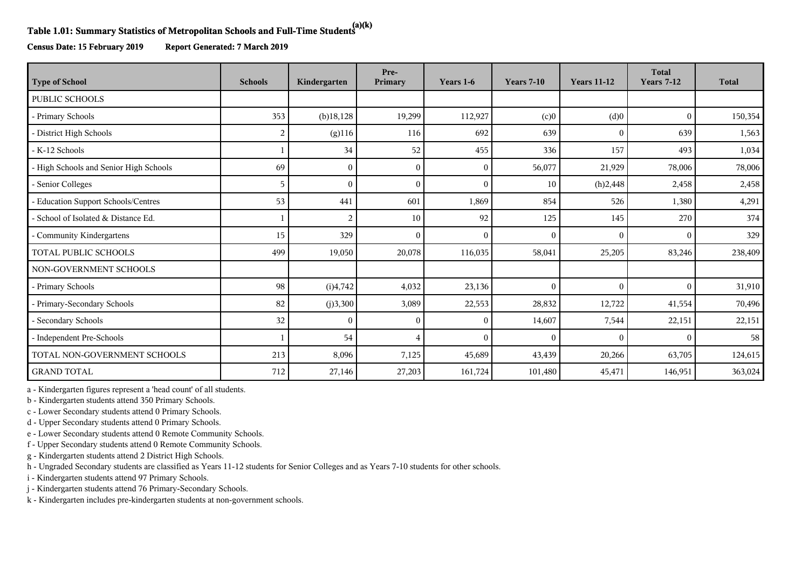## **Table 1.01: Summary Statistics of Metropolitan Schools and Full-Time Students(a)(k)**

**Census Date: 15 February 2019 Report Generated: 7 March 2019**

| <b>Type of School</b>                  | <b>Schools</b> | Kindergarten | Pre-<br>Primary | Years 1-6    | <b>Years 7-10</b> | <b>Years 11-12</b> | <b>Total</b><br><b>Years 7-12</b> | <b>Total</b> |
|----------------------------------------|----------------|--------------|-----------------|--------------|-------------------|--------------------|-----------------------------------|--------------|
| PUBLIC SCHOOLS                         |                |              |                 |              |                   |                    |                                   |              |
| - Primary Schools                      | 353            | $(b)$ 18,128 | 19,299          | 112,927      | (c)0              | (d)0               | $\mathbf{0}$                      | 150,354      |
| - District High Schools                | 2              | $(g)$ 116    | 116             | 692          | 639               | $\mathbf{0}$       | 639                               | 1,563        |
| - K-12 Schools                         |                | 34           | 52              | 455          | 336               | 157                | 493                               | 1,034        |
| - High Schools and Senior High Schools | 69             | $\theta$     | $\theta$        | $\mathbf{0}$ | 56,077            | 21,929             | 78,006                            | 78,006       |
| - Senior Colleges                      | 5              | $\Omega$     | $\theta$        | $\theta$     | 10                | (h)2,448           | 2,458                             | 2,458        |
| - Education Support Schools/Centres    | 53             | 441          | 601             | 1,869        | 854               | 526                | 1,380                             | 4,291        |
| - School of Isolated & Distance Ed.    |                | 2            | 10              | 92           | 125               | 145                | 270                               | 374          |
| - Community Kindergartens              | 15             | 329          | $\theta$        | $\mathbf{0}$ | $\mathbf{0}$      | $\mathbf{0}$       | $\Omega$                          | 329          |
| TOTAL PUBLIC SCHOOLS                   | 499            | 19,050       | 20,078          | 116,035      | 58,041            | 25,205             | 83,246                            | 238,409      |
| NON-GOVERNMENT SCHOOLS                 |                |              |                 |              |                   |                    |                                   |              |
| - Primary Schools                      | 98             | (i)4,742     | 4,032           | 23,136       | $\Omega$          | $\mathbf{0}$       | $\theta$                          | 31,910       |
| - Primary-Secondary Schools            | 82             | (j)3,300     | 3,089           | 22,553       | 28,832            | 12,722             | 41,554                            | 70,496       |
| - Secondary Schools                    | 32             | $\Omega$     | $\Omega$        | $\theta$     | 14,607            | 7,544              | 22,151                            | 22,151       |
| - Independent Pre-Schools              |                | 54           | 4               | $\theta$     | $\Omega$          | $\theta$           | $\Omega$                          | 58           |
| TOTAL NON-GOVERNMENT SCHOOLS           | 213            | 8,096        | 7,125           | 45,689       | 43,439            | 20,266             | 63,705                            | 124,615      |
| <b>GRAND TOTAL</b>                     | 712            | 27,146       | 27,203          | 161,724      | 101,480           | 45,471             | 146,951                           | 363,024      |

a - Kindergarten figures represent a 'head count' of all students.

b - Kindergarten students attend 350 Primary Schools.

c - Lower Secondary students attend 0 Primary Schools.

d - Upper Secondary students attend 0 Primary Schools.

e - Lower Secondary students attend 0 Remote Community Schools.

f - Upper Secondary students attend 0 Remote Community Schools.

g - Kindergarten students attend 2 District High Schools.

h - Ungraded Secondary students are classified as Years 11-12 students for Senior Colleges and as Years 7-10 students for other schools.

i - Kindergarten students attend 97 Primary Schools.

j - Kindergarten students attend 76 Primary-Secondary Schools.

k - Kindergarten includes pre-kindergarten students at non-government schools.